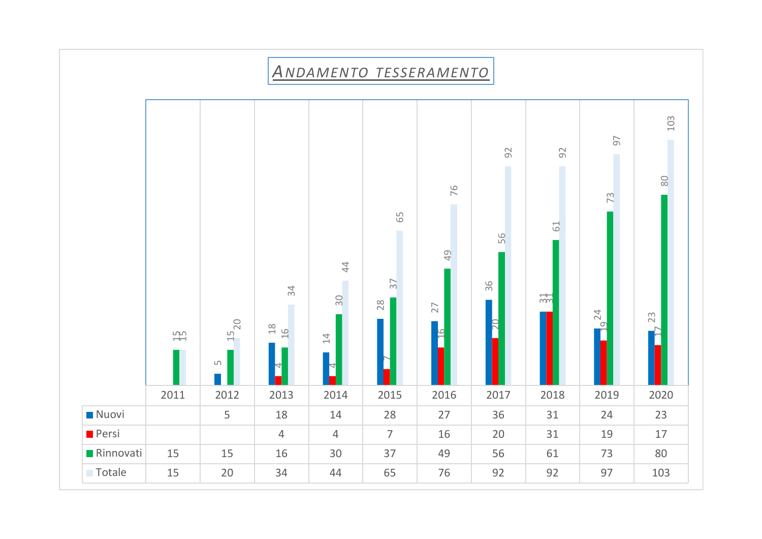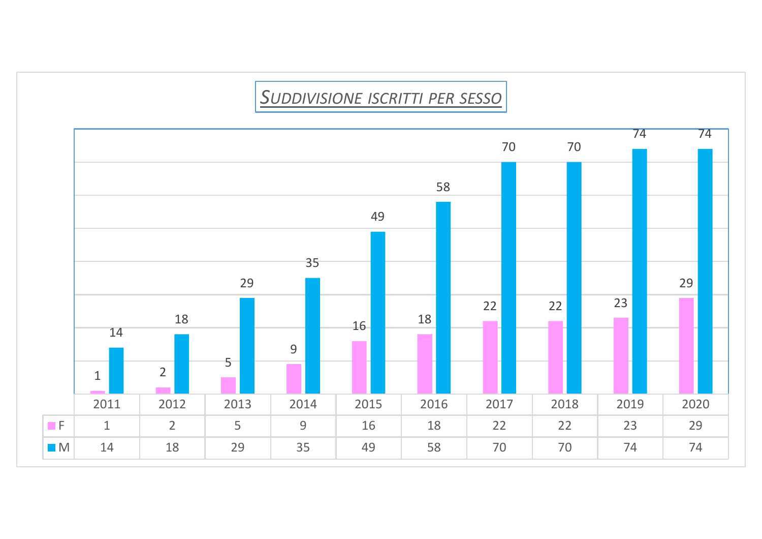## *<sup>S</sup>UDDIVISIONE ISCRITTI PER SESSO*

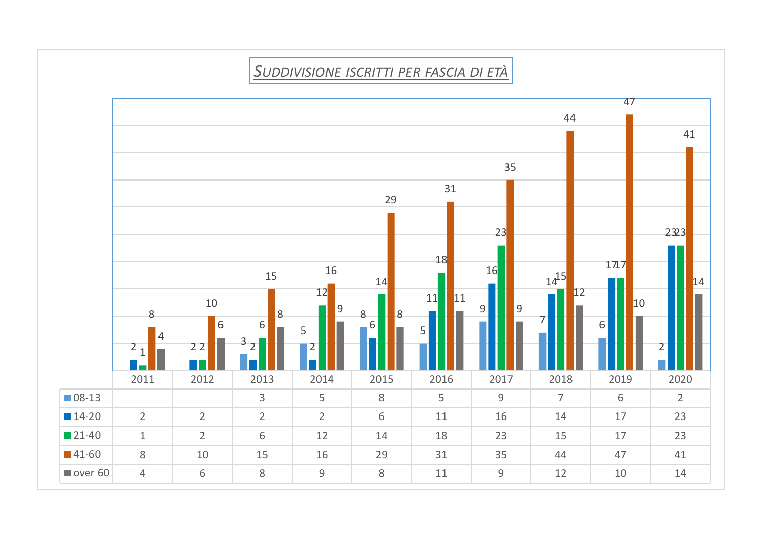